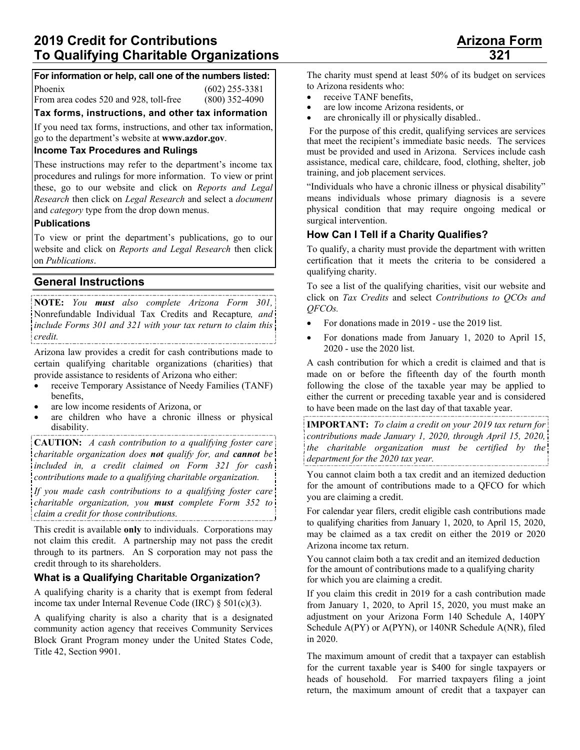### **For information or help, call one of the numbers listed:**

Phoenix (602) 255-3381

From area codes 520 and 928, toll-free (800) 352-4090

**Tax forms, instructions, and other tax information** 

If you need tax forms, instructions, and other tax information, go to the department's website at **www.azdor.gov**.

### **Income Tax Procedures and Rulings**

These instructions may refer to the department's income tax procedures and rulings for more information. To view or print these, go to our website and click on *Reports and Legal Research* then click on *Legal Research* and select a *document* and *category* type from the drop down menus.

### **Publications**

To view or print the department's publications, go to our website and click on *Reports and Legal Research* then click on *Publications*.

# **General Instructions**

**NOTE:** *You must also complete Arizona Form 301,*  Nonrefundable Individual Tax Credits and Recapture*, and include Forms 301 and 321 with your tax return to claim this credit.* 

Arizona law provides a credit for cash contributions made to certain qualifying charitable organizations (charities) that provide assistance to residents of Arizona who either:

- receive Temporary Assistance of Needy Families (TANF) benefits,
- are low income residents of Arizona, or
- are children who have a chronic illness or physical disability.

**CAUTION:** *A cash contribution to a qualifying foster care charitable organization does not qualify for, and cannot be included in, a credit claimed on Form 321 for cash contributions made to a qualifying charitable organization.* 

*If you made cash contributions to a qualifying foster care charitable organization, you must complete Form 352 to claim a credit for those contributions.* 

This credit is available **only** to individuals. Corporations may not claim this credit. A partnership may not pass the credit through to its partners. An S corporation may not pass the credit through to its shareholders.

# **What is a Qualifying Charitable Organization?**

A qualifying charity is a charity that is exempt from federal income tax under Internal Revenue Code (IRC)  $\S$  501(c)(3).

A qualifying charity is also a charity that is a designated community action agency that receives Community Services Block Grant Program money under the United States Code, Title 42, Section 9901.

The charity must spend at least 50% of its budget on services to Arizona residents who:

- receive TANF benefits.
- are low income Arizona residents, or
- are chronically ill or physically disabled..

 For the purpose of this credit, qualifying services are services that meet the recipient's immediate basic needs. The services must be provided and used in Arizona. Services include cash assistance, medical care, childcare, food, clothing, shelter, job training, and job placement services.

"Individuals who have a chronic illness or physical disability" means individuals whose primary diagnosis is a severe physical condition that may require ongoing medical or surgical intervention.

# **How Can I Tell if a Charity Qualifies?**

To qualify, a charity must provide the department with written certification that it meets the criteria to be considered a qualifying charity.

To see a list of the qualifying charities, visit our website and click on *Tax Credits* and select *Contributions to QCOs and QFCOs.* 

- For donations made in 2019 use the 2019 list.
- For donations made from January 1, 2020 to April 15, 2020 - use the 2020 list.

A cash contribution for which a credit is claimed and that is made on or before the fifteenth day of the fourth month following the close of the taxable year may be applied to either the current or preceding taxable year and is considered to have been made on the last day of that taxable year.

**IMPORTANT:** *To claim a credit on your 2019 tax return for contributions made January 1, 2020, through April 15, 2020, the charitable organization must be certified by the department for the 2020 tax year.* 

You cannot claim both a tax credit and an itemized deduction for the amount of contributions made to a QFCO for which you are claiming a credit.

For calendar year filers, credit eligible cash contributions made to qualifying charities from January 1, 2020, to April 15, 2020, may be claimed as a tax credit on either the 2019 or 2020 Arizona income tax return.

You cannot claim both a tax credit and an itemized deduction for the amount of contributions made to a qualifying charity for which you are claiming a credit.

If you claim this credit in 2019 for a cash contribution made from January 1, 2020, to April 15, 2020, you must make an adjustment on your Arizona Form 140 Schedule A, 140PY Schedule A(PY) or A(PYN), or 140NR Schedule A(NR), filed in 2020.

The maximum amount of credit that a taxpayer can establish for the current taxable year is \$400 for single taxpayers or heads of household. For married taxpayers filing a joint return, the maximum amount of credit that a taxpayer can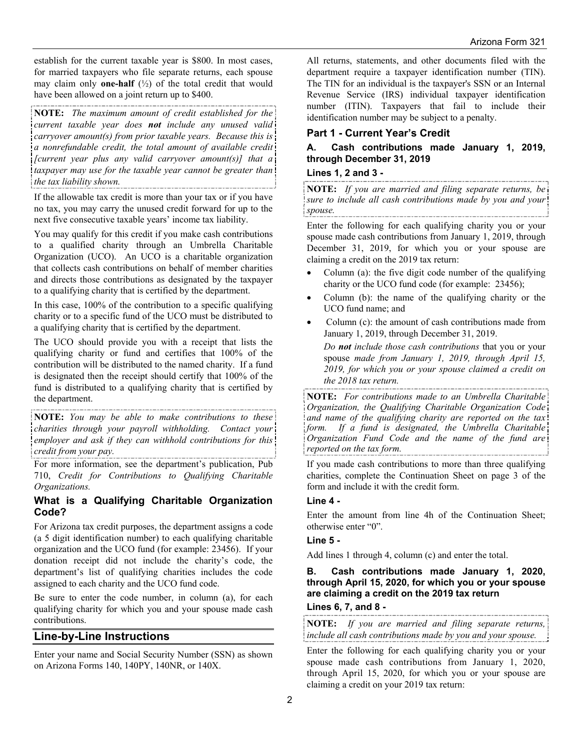establish for the current taxable year is \$800. In most cases, for married taxpayers who file separate returns, each spouse may claim only **one-half** (½) of the total credit that would have been allowed on a joint return up to \$400.

**NOTE:** *The maximum amount of credit established for the current taxable year does not include any unused valid carryover amount(s) from prior taxable years. Because this is a nonrefundable credit, the total amount of available credit [current year plus any valid carryover amount(s)] that a taxpayer may use for the taxable year cannot be greater than the tax liability shown.* 

If the allowable tax credit is more than your tax or if you have no tax, you may carry the unused credit forward for up to the next five consecutive taxable years' income tax liability.

You may qualify for this credit if you make cash contributions to a qualified charity through an Umbrella Charitable Organization (UCO). An UCO is a charitable organization that collects cash contributions on behalf of member charities and directs those contributions as designated by the taxpayer to a qualifying charity that is certified by the department.

In this case, 100% of the contribution to a specific qualifying charity or to a specific fund of the UCO must be distributed to a qualifying charity that is certified by the department.

The UCO should provide you with a receipt that lists the qualifying charity or fund and certifies that 100% of the contribution will be distributed to the named charity. If a fund is designated then the receipt should certify that 100% of the fund is distributed to a qualifying charity that is certified by the department.

**NOTE:** *You may be able to make contributions to these charities through your payroll withholding. Contact your employer and ask if they can withhold contributions for this credit from your pay.* 

For more information, see the department's publication, Pub 710, *Credit for Contributions to Qualifying Charitable Organizations.*

# **What is a Qualifying Charitable Organization Code?**

For Arizona tax credit purposes, the department assigns a code (a 5 digit identification number) to each qualifying charitable organization and the UCO fund (for example: 23456). If your donation receipt did not include the charity's code, the department's list of qualifying charities includes the code assigned to each charity and the UCO fund code.

Be sure to enter the code number, in column (a), for each qualifying charity for which you and your spouse made cash contributions.

# **Line-by-Line Instructions**

Enter your name and Social Security Number (SSN) as shown on Arizona Forms 140, 140PY, 140NR, or 140X.

All returns, statements, and other documents filed with the department require a taxpayer identification number (TIN). The TIN for an individual is the taxpayer's SSN or an Internal Revenue Service (IRS) individual taxpayer identification number (ITIN). Taxpayers that fail to include their identification number may be subject to a penalty.

# **Part 1 - Current Year's Credit**

# **A. Cash contributions made January 1, 2019, through December 31, 2019**

### **Lines 1, 2 and 3 -**

------------------------------**NOTE:** *If you are married and filing separate returns, be sure to include all cash contributions made by you and your spouse.* 

Enter the following for each qualifying charity you or your spouse made cash contributions from January 1, 2019, through December 31, 2019, for which you or your spouse are claiming a credit on the 2019 tax return:

- Column (a): the five digit code number of the qualifying charity or the UCO fund code (for example: 23456);
- Column (b): the name of the qualifying charity or the UCO fund name; and
- Column (c): the amount of cash contributions made from January 1, 2019, through December 31, 2019.

*Do not include those cash contributions* that you or your spouse *made from January 1, 2019, through April 15, 2019, for which you or your spouse claimed a credit on the 2018 tax return.*

**NOTE:** *For contributions made to an Umbrella Charitable Organization, the Qualifying Charitable Organization Code and name of the qualifying charity are reported on the tax form. If a fund is designated, the Umbrella Charitable Organization Fund Code and the name of the fund are reported on the tax form.* 

If you made cash contributions to more than three qualifying charities, complete the Continuation Sheet on page 3 of the form and include it with the credit form.

### **Line 4 -**

Enter the amount from line 4h of the Continuation Sheet; otherwise enter "0".

### **Line 5 -**

Add lines 1 through 4, column (c) and enter the total.

### **B. Cash contributions made January 1, 2020, through April 15, 2020, for which you or your spouse are claiming a credit on the 2019 tax return Lines 6, 7, and 8 -**

**NOTE:** *If you are married and filing separate returns, include all cash contributions made by you and your spouse.* 

Enter the following for each qualifying charity you or your spouse made cash contributions from January 1, 2020, through April 15, 2020, for which you or your spouse are claiming a credit on your 2019 tax return: